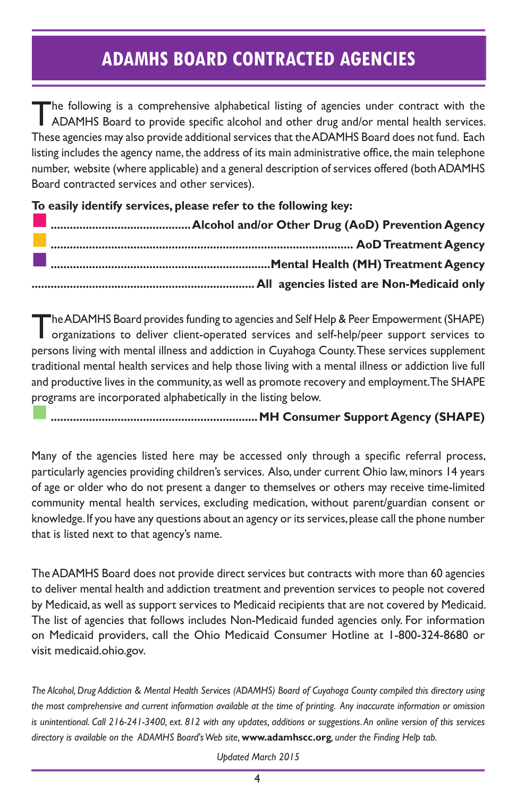#### **ADAMHS BOARD CONTRACTED AGENCIES**

The following is a comprehensive alphabetical listing of agencies under contract with the ADAMHS Board to provide specific alcohol and other drug and/or mental health services. These agencies may also provide additional services that the ADAMHS Board does not fund. Each listing includes the agency name, the address of its main administrative office, the main telephone number, website (where applicable) and a general description of services offered (both ADAMHS Board contracted services and other services).

**To easily identify services, please refer to the following key:**

The ADAMHS Board provides funding to agencies and Self Help & Peer Empowerment (SHAPE) organizations to deliver client-operated services and self-help/peer support services to persons living with mental illness and addiction in Cuyahoga County. These services supplement traditional mental health services and help those living with a mental illness or addiction live full and productive lives in the community, as well as promote recovery and employment. The SHAPE programs are incorporated alphabetically in the listing below.

n**.................................................................MH Consumer Support Agency (SHAPE)**

Many of the agencies listed here may be accessed only through a specific referral process, particularly agencies providing children's services. Also, under current Ohio law, minors 14 years of age or older who do not present a danger to themselves or others may receive time-limited community mental health services, excluding medication, without parent/guardian consent or knowledge. If you have any questions about an agency or its services, please call the phone number that is listed next to that agency's name.

The ADAMHS Board does not provide direct services but contracts with more than 60 agencies to deliver mental health and addiction treatment and prevention services to people not covered by Medicaid, as well as support services to Medicaid recipients that are not covered by Medicaid. The list of agencies that follows includes Non-Medicaid funded agencies only. For information on Medicaid providers, call the Ohio Medicaid Consumer Hotline at 1-800-324-8680 or visit medicaid.ohio.gov.

*The Alcohol, Drug Addiction & Mental Health Services (ADAMHS) Board of Cuyahoga County compiled this directory using the most comprehensive and current information available at the time of printing. Any inaccurate information or omission is unintentional. Call 216-241-3400, ext. 812 with any updates, additions or suggestions. An online version of this services directory is available on the ADAMHS Board's Web site,* **www.adamhscc.org***, under the Finding Help tab.* 

*Updated March 2015*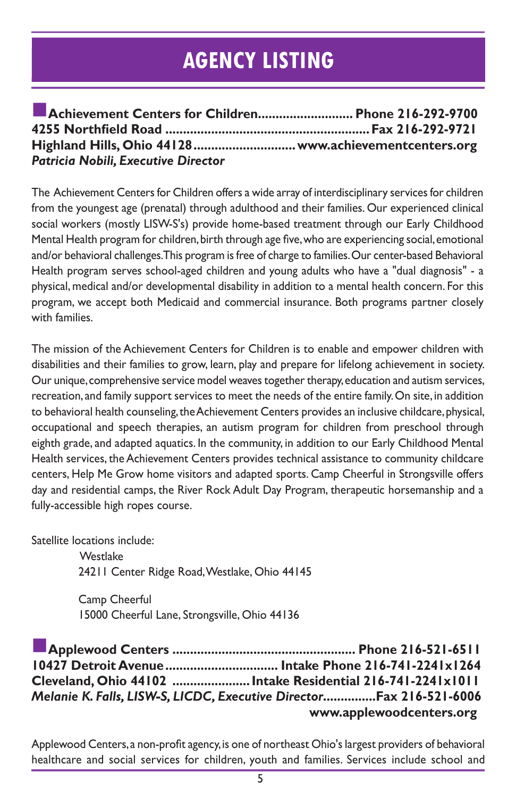#### **AGENCY LISTING**

| Achievement Centers for Children Phone 216-292-9700    |  |
|--------------------------------------------------------|--|
|                                                        |  |
| Highland Hills, Ohio 44128  www.achievementcenters.org |  |
| <b>Patricia Nobili, Executive Director</b>             |  |

The Achievement Centers for Children offers a wide array of interdisciplinary services for children from the youngest age (prenatal) through adulthood and their families. Our experienced clinical social workers (mostly LISW-S's) provide home-based treatment through our Early Childhood Mental Health program for children, birth through age five, who are experiencing social, emotional and/or behavioral challenges. This program is free of charge to families. Our center-based Behavioral Health program serves school-aged children and young adults who have a "dual diagnosis" - a physical, medical and/or developmental disability in addition to a mental health concern. For this program, we accept both Medicaid and commercial insurance. Both programs partner closely with families.

The mission of the Achievement Centers for Children is to enable and empower children with disabilities and their families to grow, learn, play and prepare for lifelong achievement in society. Our unique, comprehensive service model weaves together therapy, education and autism services, recreation, and family support services to meet the needs of the entire family. On site, in addition to behavioral health counseling, the Achievement Centers provides an inclusive childcare, physical, occupational and speech therapies, an autism program for children from preschool through eighth grade, and adapted aquatics. In the community, in addition to our Early Childhood Mental Health services, the Achievement Centers provides technical assistance to community childcare centers, Help Me Grow home visitors and adapted sports. Camp Cheerful in Strongsville offers day and residential camps, the River Rock Adult Day Program, therapeutic horsemanship and a fully-accessible high ropes course.

Satellite locations include:

**Westlake** 24211 Center Ridge Road, Westlake, Ohio 44145

Camp Cheerful 15000 Cheerful Lane, Strongsville, Ohio 44136

n**Applewood Centers .................................................... Phone 216-521-6511 10427 Detroit Avenue................................ Intake Phone 216-741-2241x1264 Cleveland, Ohio 44102 ......................Intake Residential 216-741-2241x1011** *Melanie K. Falls, LISW-S, LICDC, Executive Director***...............Fax 216-521-6006** **www.applewoodcenters.org**

Applewood Centers, a non-profit agency, is one of northeast Ohio's largest providers of behavioral healthcare and social services for children, youth and families. Services include school and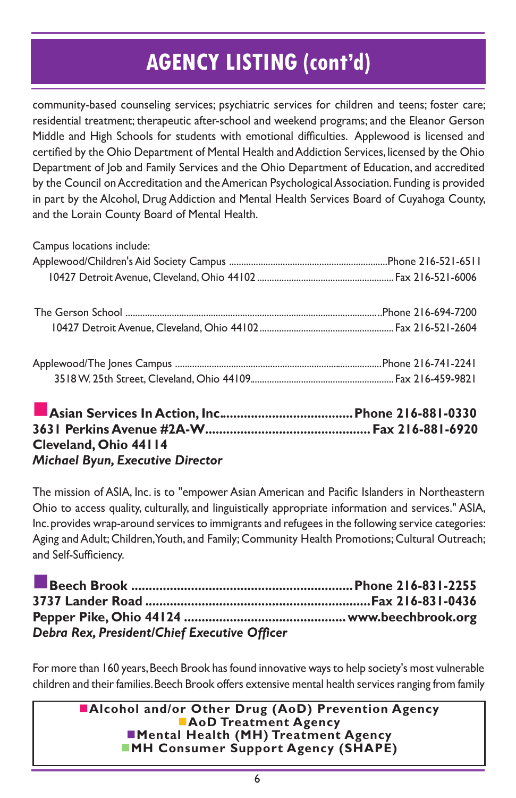community-based counseling services; psychiatric services for children and teens; foster care; residential treatment; therapeutic after-school and weekend programs; and the Eleanor Gerson Middle and High Schools for students with emotional difficulties. Applewood is licensed and certified by the Ohio Department of Mental Health and Addiction Services, licensed by the Ohio Department of Job and Family Services and the Ohio Department of Education, and accredited by the Council on Accreditation and the American Psychological Association. Funding is provided in part by the Alcohol, Drug Addiction and Mental Health Services Board of Cuyahoga County, and the Lorain County Board of Mental Health.

| Campus locations include: |  |
|---------------------------|--|

**3631 Perkins Avenue #2A-W...............................................Fax 216-881-6920 Cleveland, Ohio 44114** *Michael Byun, Executive Director*

The mission of ASIA, Inc. is to "empower Asian American and Pacific Islanders in Northeastern Ohio to access quality, culturally, and linguistically appropriate information and services." ASIA, Inc. provides wrap-around services to immigrants and refugees in the following service categories: Aging and Adult; Children, Youth, and Family; Community Health Promotions; Cultural Outreach; and Self-Sufficiency.

| Debra Rex, President/Chief Executive Officer |  |
|----------------------------------------------|--|

For more than 160 years, Beech Brook has found innovative ways to help society's most vulnerable children and their families. Beech Brook offers extensive mental health services ranging from family

> **nalcohol and/or Other Drug (AoD) Prevention Agency AoD Treatment Agency nd Mental Health (MH) Treatment Agency MH Consumer Support Agency (SHAPE)**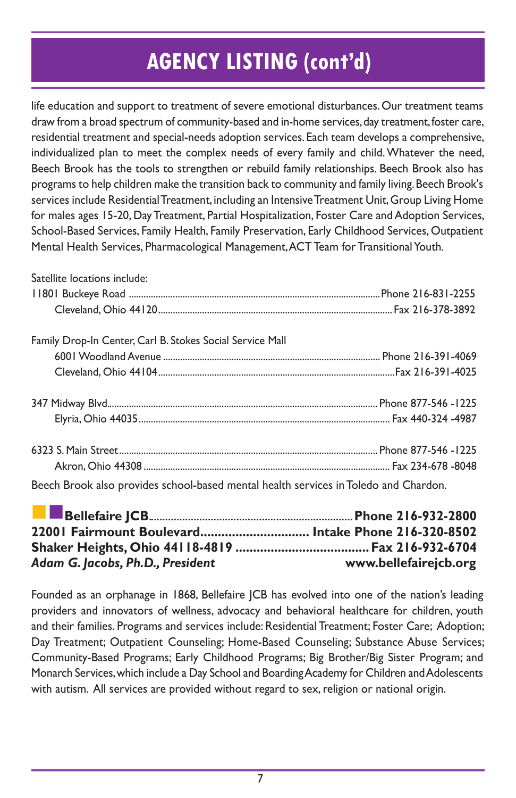life education and support to treatment of severe emotional disturbances. Our treatment teams draw from a broad spectrum of community-based and in-home services, day treatment, foster care, residential treatment and special-needs adoption services. Each team develops a comprehensive, individualized plan to meet the complex needs of every family and child. Whatever the need, Beech Brook has the tools to strengthen or rebuild family relationships. Beech Brook also has programs to help children make the transition back to community and family living. Beech Brook's services include Residential Treatment, including an Intensive Treatment Unit, Group Living Home for males ages 15-20, Day Treatment, Partial Hospitalization, Foster Care and Adoption Services, School-Based Services, Family Health, Family Preservation, Early Childhood Services, Outpatient Mental Health Services, Pharmacological Management, ACT Team for Transitional Youth.

| Satellite locations include:                              |  |
|-----------------------------------------------------------|--|
|                                                           |  |
|                                                           |  |
| Family Drop-In Center, Carl B. Stokes Social Service Mall |  |
|                                                           |  |
|                                                           |  |
|                                                           |  |
|                                                           |  |
|                                                           |  |
|                                                           |  |
|                                                           |  |

Beech Brook also provides school-based mental health services in Toledo and Chardon.

| <b>Bellefaire JCB</b> 216-932-2800                  |                       |
|-----------------------------------------------------|-----------------------|
| 22001 Fairmount Boulevard Intake Phone 216-320-8502 |                       |
|                                                     |                       |
| Adam G. Jacobs, Ph.D., President                    | www.bellefairejcb.org |

Founded as an orphanage in 1868, Bellefaire JCB has evolved into one of the nation's leading providers and innovators of wellness, advocacy and behavioral healthcare for children, youth and their families. Programs and services include: Residential Treatment; Foster Care; Adoption; Day Treatment; Outpatient Counseling; Home-Based Counseling; Substance Abuse Services; Community-Based Programs; Early Childhood Programs; Big Brother/Big Sister Program; and Monarch Services, which include a Day School and Boarding Academy for Children and Adolescents with autism. All services are provided without regard to sex, religion or national origin.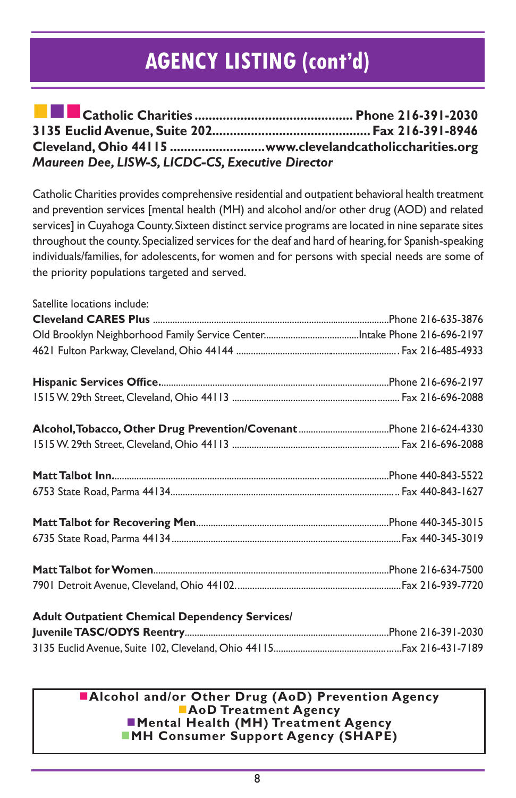| Cleveland, Ohio 44115 www.clevelandcatholiccharities.org |  |
|----------------------------------------------------------|--|
| Maureen Dee, LISW-S, LICDC-CS, Executive Director        |  |

Catholic Charities provides comprehensive residential and outpatient behavioral health treatment and prevention services [mental health (MH) and alcohol and/or other drug (AOD) and related services] in Cuyahoga County. Sixteen distinct service programs are located in nine separate sites throughout the county. Specialized services for the deaf and hard of hearing, for Spanish-speaking individuals/families, for adolescents, for women and for persons with special needs are some of the priority populations targeted and served.

| Satellite locations include:                                                                                                                                                                                                         |                    |
|--------------------------------------------------------------------------------------------------------------------------------------------------------------------------------------------------------------------------------------|--------------------|
|                                                                                                                                                                                                                                      |                    |
|                                                                                                                                                                                                                                      |                    |
|                                                                                                                                                                                                                                      |                    |
|                                                                                                                                                                                                                                      |                    |
|                                                                                                                                                                                                                                      |                    |
|                                                                                                                                                                                                                                      |                    |
|                                                                                                                                                                                                                                      |                    |
|                                                                                                                                                                                                                                      |                    |
|                                                                                                                                                                                                                                      |                    |
|                                                                                                                                                                                                                                      |                    |
|                                                                                                                                                                                                                                      |                    |
|                                                                                                                                                                                                                                      |                    |
|                                                                                                                                                                                                                                      |                    |
| <b>Adult Outpatient Chemical Dependency Services/</b>                                                                                                                                                                                |                    |
| <b>Luvenile TASCIODYS Reported and Control of the Control of Control of the Control of Control of Control of Control of Control of Control of Control of Control of Control of Control of Control of Control of Control of Contr</b> | Phone 216-391-2030 |

#### **nalcohol and/or Other Drug (AoD) Prevention Agency AoD Treatment Agency Mental Health (MH) Treatment Agency NH Consumer Support Agency (SHAPE)**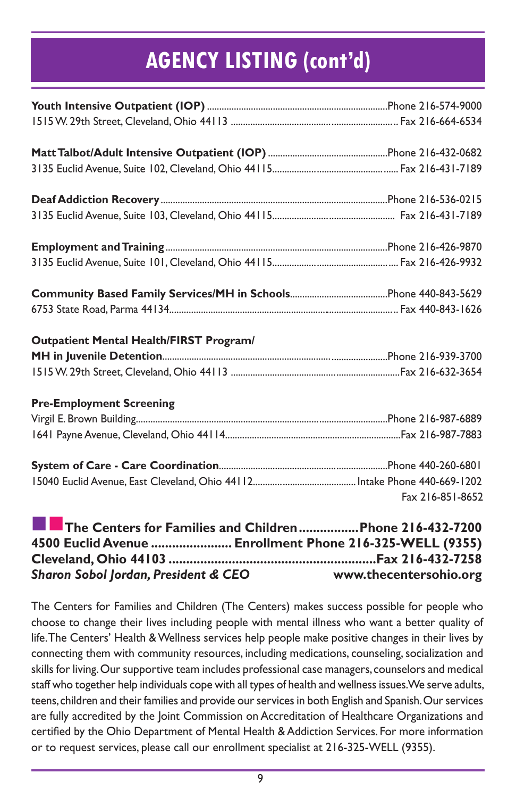| <b>Outpatient Mental Health/FIRST Program/</b>                                                                                                                                                                                                                                                                                                                                                                                                                                                                                                                                                                                                                                                         |                  |
|--------------------------------------------------------------------------------------------------------------------------------------------------------------------------------------------------------------------------------------------------------------------------------------------------------------------------------------------------------------------------------------------------------------------------------------------------------------------------------------------------------------------------------------------------------------------------------------------------------------------------------------------------------------------------------------------------------|------------------|
|                                                                                                                                                                                                                                                                                                                                                                                                                                                                                                                                                                                                                                                                                                        |                  |
|                                                                                                                                                                                                                                                                                                                                                                                                                                                                                                                                                                                                                                                                                                        |                  |
| <b>Pre-Employment Screening</b>                                                                                                                                                                                                                                                                                                                                                                                                                                                                                                                                                                                                                                                                        |                  |
|                                                                                                                                                                                                                                                                                                                                                                                                                                                                                                                                                                                                                                                                                                        |                  |
|                                                                                                                                                                                                                                                                                                                                                                                                                                                                                                                                                                                                                                                                                                        |                  |
|                                                                                                                                                                                                                                                                                                                                                                                                                                                                                                                                                                                                                                                                                                        |                  |
|                                                                                                                                                                                                                                                                                                                                                                                                                                                                                                                                                                                                                                                                                                        |                  |
|                                                                                                                                                                                                                                                                                                                                                                                                                                                                                                                                                                                                                                                                                                        | Fax 216-851-8652 |
| The Centers for Families and Children  Phone 216-432-7200<br>4500 Euclid Avenue  Enrollment Phone 216-325-WELL (9355)                                                                                                                                                                                                                                                                                                                                                                                                                                                                                                                                                                                  |                  |
| Sharon Sobol Jordan, President & CEO www.thecentersohio.org                                                                                                                                                                                                                                                                                                                                                                                                                                                                                                                                                                                                                                            |                  |
| The Centers for Families and Children (The Centers) makes success possible for people who<br>choose to change their lives including people with mental illness who want a better quality of<br>life. The Centers' Health & Wellness services help people make positive changes in their lives by<br>connecting them with community resources, including medications, counseling, socialization and<br>$\mathbf{r}$ and $\mathbf{r}$ are $\mathbf{r}$ and $\mathbf{r}$ are $\mathbf{r}$ and $\mathbf{r}$ are $\mathbf{r}$ and $\mathbf{r}$ are $\mathbf{r}$ and $\mathbf{r}$ are $\mathbf{r}$ and $\mathbf{r}$ are $\mathbf{r}$ and $\mathbf{r}$ are $\mathbf{r}$ and $\mathbf{r}$ are $\mathbf{r}$ and |                  |

skills for living. Our supportive team includes professional case managers, counselors and medical staff who together help individuals cope with all types of health and wellness issues. We serve adults, teens, children and their families and provide our services in both English and Spanish. Our services are fully accredited by the Joint Commission on Accreditation of Healthcare Organizations and certified by the Ohio Department of Mental Health & Addiction Services. For more information or to request services, please call our enrollment specialist at 216-325-WELL (9355).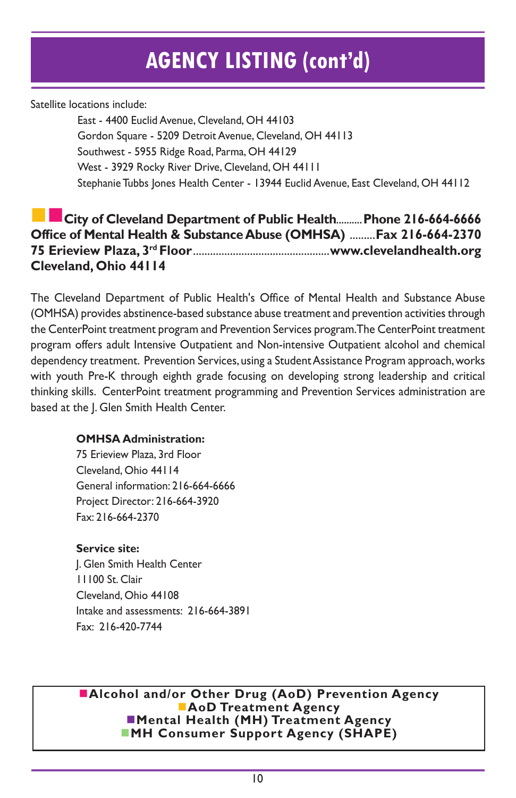Satellite locations include:

East - 4400 Euclid Avenue, Cleveland, OH 44103 Gordon Square - 5209 Detroit Avenue, Cleveland, OH 44113 Southwest - 5955 Ridge Road, Parma, OH 44129 West - 3929 Rocky River Drive, Cleveland, OH 44111 Stephanie Tubbs Jones Health Center - 13944 Euclid Avenue, East Cleveland, OH 44112

#### **City of Cleveland Department of Public Health.......... Phone 216-664-6666 Office of Mental Health & Substance Abuse (OMHSA)** .........**Fax 216-664-2370 75 Erieview Plaza, 3rd Floor**................................................**www.clevelandhealth.org Cleveland, Ohio 44114**

The Cleveland Department of Public Health's Office of Mental Health and Substance Abuse (OMHSA) provides abstinence-based substance abuse treatment and prevention activities through the CenterPoint treatment program and Prevention Services program. The CenterPoint treatment program offers adult Intensive Outpatient and Non-intensive Outpatient alcohol and chemical dependency treatment. Prevention Services, using a Student Assistance Program approach, works with youth Pre-K through eighth grade focusing on developing strong leadership and critical thinking skills. CenterPoint treatment programming and Prevention Services administration are based at the J. Glen Smith Health Center.

#### **OMHSA Administration:**

75 Erieview Plaza, 3rd Floor Cleveland, Ohio 44114 General information: 216-664-6666 Project Director: 216-664-3920 Fax: 216-664-2370

#### **Service site:**

J. Glen Smith Health Center 11100 St. Clair Cleveland, Ohio 44108 Intake and assessments: 216-664-3891 Fax: 216-420-7744

**nalcohol and/or Other Drug (AoD) Prevention Agency AoD Treatment Agency nd** Mental Health (MH) Treatment Agency ■MH Consumer Support Agency (SHAPE)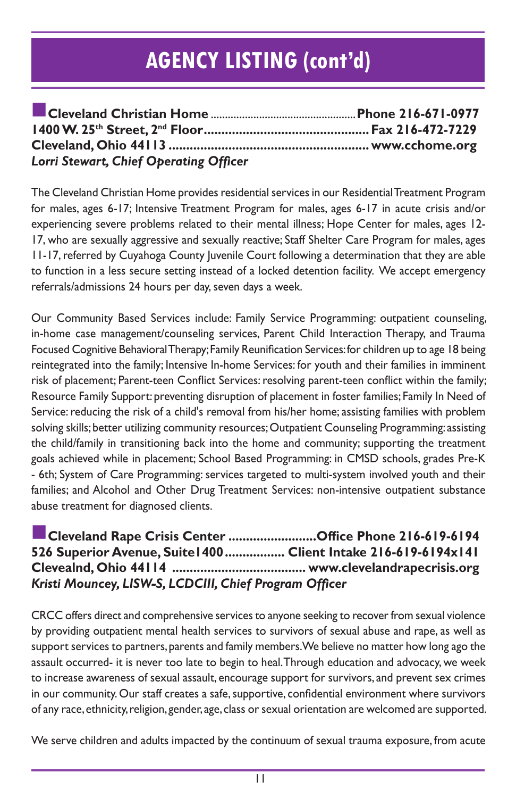| Lorri Stewart, Chief Operating Officer |  |
|----------------------------------------|--|

The Cleveland Christian Home provides residential services in our Residential Treatment Program for males, ages 6-17; Intensive Treatment Program for males, ages 6-17 in acute crisis and/or experiencing severe problems related to their mental illness; Hope Center for males, ages 12- 17, who are sexually aggressive and sexually reactive; Staff Shelter Care Program for males, ages 11-17, referred by Cuyahoga County Juvenile Court following a determination that they are able to function in a less secure setting instead of a locked detention facility. We accept emergency referrals/admissions 24 hours per day, seven days a week.

Our Community Based Services include: Family Service Programming: outpatient counseling, in-home case management/counseling services, Parent Child Interaction Therapy, and Trauma Focused Cognitive Behavioral Therapy; Family Reunification Services: for children up to age 18 being reintegrated into the family; Intensive In-home Services: for youth and their families in imminent risk of placement; Parent-teen Conflict Services: resolving parent-teen conflict within the family; Resource Family Support: preventing disruption of placement in foster families; Family In Need of Service: reducing the risk of a child's removal from his/her home; assisting families with problem solving skills; better utilizing community resources; Outpatient Counseling Programming: assisting the child/family in transitioning back into the home and community; supporting the treatment goals achieved while in placement; School Based Programming: in CMSD schools, grades Pre-K - 6th; System of Care Programming: services targeted to multi-system involved youth and their families; and Alcohol and Other Drug Treatment Services: non-intensive outpatient substance abuse treatment for diagnosed clients.

#### n**Cleveland Rape Crisis Center .........................Office Phone 216-619-6194 526 Superior Avenue, Suite1400................. Client Intake 216-619-6194x141 Clevealnd, Ohio 44114 ...................................... www.clevelandrapecrisis.org** *Kristi Mouncey, LISW-S, LCDCIII, Chief Program Officer*

CRCC offers direct and comprehensive services to anyone seeking to recover from sexual violence by providing outpatient mental health services to survivors of sexual abuse and rape, as well as support services to partners, parents and family members. We believe no matter how long ago the assault occurred- it is never too late to begin to heal. Through education and advocacy, we week to increase awareness of sexual assault, encourage support for survivors, and prevent sex crimes in our community. Our staff creates a safe, supportive, confidential environment where survivors of any race, ethnicity, religion, gender, age, class or sexual orientation are welcomed are supported.

We serve children and adults impacted by the continuum of sexual trauma exposure, from acute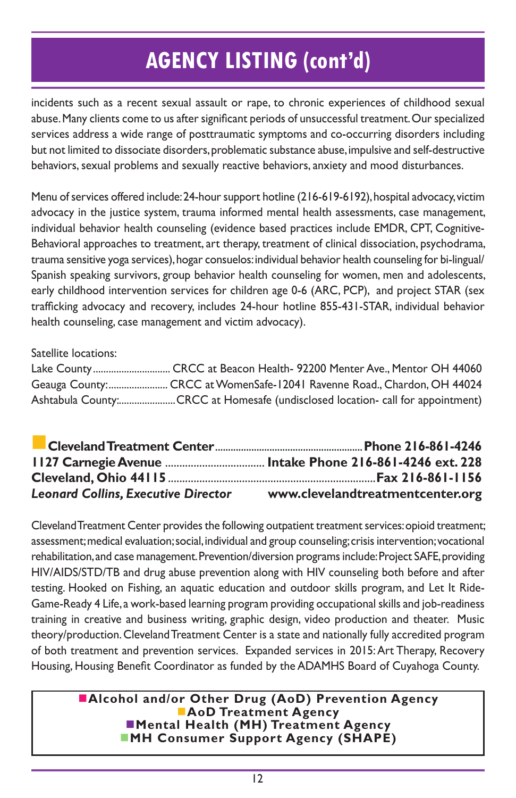incidents such as a recent sexual assault or rape, to chronic experiences of childhood sexual abuse. Many clients come to us after significant periods of unsuccessful treatment. Our specialized services address a wide range of posttraumatic symptoms and co-occurring disorders including but not limited to dissociate disorders, problematic substance abuse, impulsive and self-destructive behaviors, sexual problems and sexually reactive behaviors, anxiety and mood disturbances.

Menu of services offered include: 24-hour support hotline (216-619-6192), hospital advocacy, victim advocacy in the justice system, trauma informed mental health assessments, case management, individual behavior health counseling (evidence based practices include EMDR, CPT, Cognitive-Behavioral approaches to treatment, art therapy, treatment of clinical dissociation, psychodrama, trauma sensitive yoga services), hogar consuelos: individual behavior health counseling for bi-lingual/ Spanish speaking survivors, group behavior health counseling for women, men and adolescents, early childhood intervention services for children age 0-6 (ARC, PCP), and project STAR (sex trafficking advocacy and recovery, includes 24-hour hotline 855-431-STAR, individual behavior health counseling, case management and victim advocacy).

Satellite locations:

| Geauga County: CRCC at WomenSafe-12041 Ravenne Road., Chardon, OH 44024        |
|--------------------------------------------------------------------------------|
| Ashtabula County:CRCC at Homesafe (undisclosed location- call for appointment) |

| <b>Leonard Collins, Executive Director</b> | www.clevelandtreatmentcenter.org |
|--------------------------------------------|----------------------------------|

Cleveland Treatment Center provides the following outpatient treatment services: opioid treatment; assessment; medical evaluation; social, individual and group counseling; crisis intervention; vocational rehabilitation, and case management. Prevention/diversion programs include: Project SAFE, providing HIV/AIDS/STD/TB and drug abuse prevention along with HIV counseling both before and after testing. Hooked on Fishing, an aquatic education and outdoor skills program, and Let It Ride-Game-Ready 4 Life, a work-based learning program providing occupational skills and job-readiness training in creative and business writing, graphic design, video production and theater. Music theory/production. Cleveland Treatment Center is a state and nationally fully accredited program of both treatment and prevention services. Expanded services in 2015: Art Therapy, Recovery Housing, Housing Benefit Coordinator as funded by the ADAMHS Board of Cuyahoga County.

#### **nalcohol and/or Other Drug (AoD) Prevention Agency AoD Treatment Agency nd** Mental Health (MH) Treatment Agency **NH Consumer Support Agency (SHAPE)**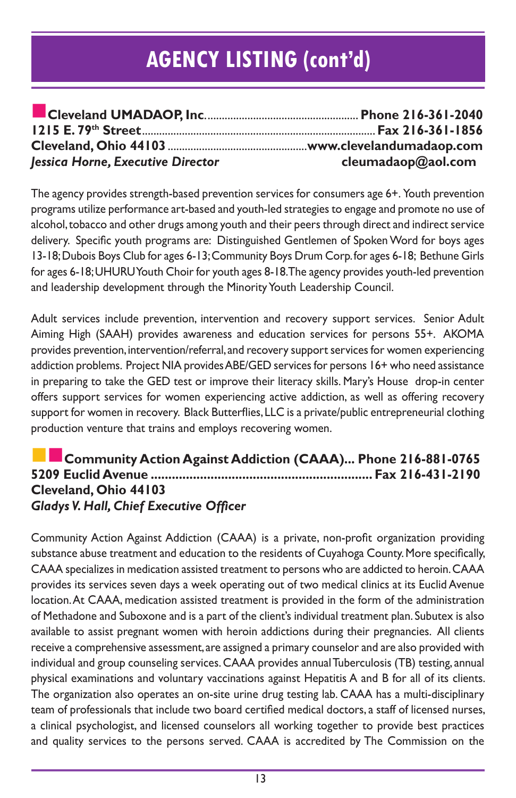| Jessica Horne, Executive Director | cleumadaop@aol.com |
|-----------------------------------|--------------------|

The agency provides strength-based prevention services for consumers age 6+. Youth prevention programs utilize performance art-based and youth-led strategies to engage and promote no use of alcohol, tobacco and other drugs among youth and their peers through direct and indirect service delivery. Specific youth programs are: Distinguished Gentlemen of Spoken Word for boys ages 13-18; Dubois Boys Club for ages 6-13; Community Boys Drum Corp. for ages 6-18; Bethune Girls for ages 6-18; UHURU Youth Choir for youth ages 8-18. The agency provides youth-led prevention and leadership development through the Minority Youth Leadership Council.

Adult services include prevention, intervention and recovery support services. Senior Adult Aiming High (SAAH) provides awareness and education services for persons 55+. AKOMA provides prevention, intervention/referral, and recovery support services for women experiencing addiction problems. Project NIA provides ABE/GED services for persons 16+ who need assistance in preparing to take the GED test or improve their literacy skills. Mary's House drop-in center offers support services for women experiencing active addiction, as well as offering recovery support for women in recovery. Black Butterflies, LLC is a private/public entrepreneurial clothing production venture that trains and employs recovering women.

#### nn**Community Action Against Addiction (CAAA)... Phone 216-881-0765 5209 Euclid Avenue ............................................................... Fax 216-431-2190 Cleveland, Ohio 44103** *Gladys V. Hall, Chief Executive Officer*

Community Action Against Addiction (CAAA) is a private, non-profit organization providing substance abuse treatment and education to the residents of Cuyahoga County. More specifically, CAAA specializes in medication assisted treatment to persons who are addicted to heroin. CAAA provides its services seven days a week operating out of two medical clinics at its Euclid Avenue location. At CAAA, medication assisted treatment is provided in the form of the administration of Methadone and Suboxone and is a part of the client's individual treatment plan. Subutex is also available to assist pregnant women with heroin addictions during their pregnancies. All clients receive a comprehensive assessment, are assigned a primary counselor and are also provided with individual and group counseling services. CAAA provides annual Tuberculosis (TB) testing, annual physical examinations and voluntary vaccinations against Hepatitis A and B for all of its clients. The organization also operates an on-site urine drug testing lab. CAAA has a multi-disciplinary team of professionals that include two board certified medical doctors, a staff of licensed nurses, a clinical psychologist, and licensed counselors all working together to provide best practices and quality services to the persons served. CAAA is accredited by The Commission on the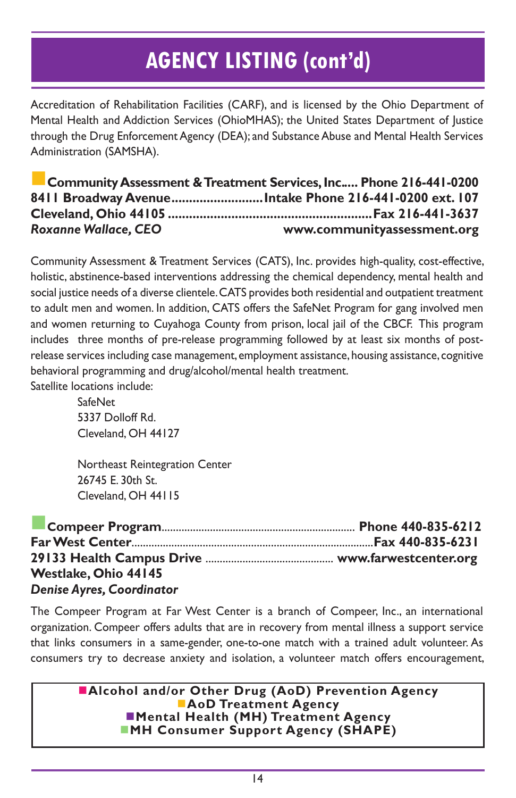Accreditation of Rehabilitation Facilities (CARF), and is licensed by the Ohio Department of Mental Health and Addiction Services (OhioMHAS); the United States Department of Justice through the Drug Enforcement Agency (DEA); and Substance Abuse and Mental Health Services Administration (SAMSHA).

n**Community Assessment & Treatment Services, Inc..... Phone 216-441-0200 8411 Broadway Avenue..........................Intake Phone 216-441-0200 ext. 107 Cleveland, Ohio 44105 ..........................................................Fax 216-441-3637** *Roxanne Wallace, CEO* **www.communityassessment.org**

Community Assessment & Treatment Services (CATS), Inc. provides high-quality, cost-effective, holistic, abstinence-based interventions addressing the chemical dependency, mental health and social justice needs of a diverse clientele. CATS provides both residential and outpatient treatment to adult men and women. In addition, CATS offers the SafeNet Program for gang involved men and women returning to Cuyahoga County from prison, local jail of the CBCF. This program includes three months of pre-release programming followed by at least six months of postrelease services including case management, employment assistance, housing assistance, cognitive behavioral programming and drug/alcohol/mental health treatment. Satellite locations include:

> **SafeNet** 5337 Dolloff Rd. Cleveland, OH 44127

Northeast Reintegration Center 26745 E. 30th St. Cleveland, OH 44115

n**Compeer Program**.................................................................... **Phone 440-835-6212 Far West Center**.....................................................................................**Fax 440-835-6231 29133 Health Campus Drive** ............................................. **www.farwestcenter.org Westlake, Ohio 44145** *Denise Ayres, Coordinator*

The Compeer Program at Far West Center is a branch of Compeer, Inc., an international organization. Compeer offers adults that are in recovery from mental illness a support service that links consumers in a same-gender, one-to-one match with a trained adult volunteer. As consumers try to decrease anxiety and isolation, a volunteer match offers encouragement,

> **nalcohol and/or Other Drug (AoD) Prevention Agency AoD Treatment Agency** n**Mental Health (MH) Treatment Agency NH Consumer Support Agency (SHAPE)**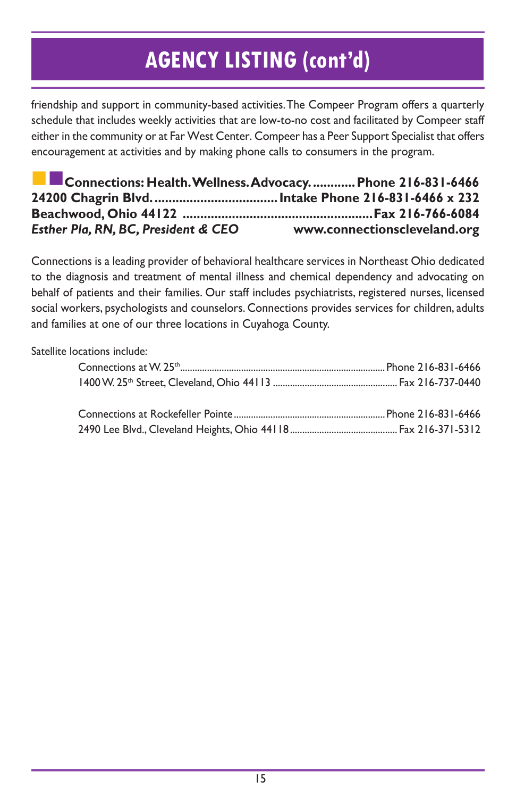friendship and support in community-based activities. The Compeer Program offers a quarterly schedule that includes weekly activities that are low-to-no cost and facilitated by Compeer staff either in the community or at Far West Center. Compeer has a Peer Support Specialist that offers encouragement at activities and by making phone calls to consumers in the program.

| Connections: Health. Wellness. Advocacy.  Phone 216-831-6466 |                              |
|--------------------------------------------------------------|------------------------------|
|                                                              |                              |
|                                                              |                              |
| Esther Pla, RN, BC, President & CEO                          | www.connectionscleveland.org |

Connections is a leading provider of behavioral healthcare services in Northeast Ohio dedicated to the diagnosis and treatment of mental illness and chemical dependency and advocating on behalf of patients and their families. Our staff includes psychiatrists, registered nurses, licensed social workers, psychologists and counselors. Connections provides services for children, adults and families at one of our three locations in Cuyahoga County.

Satellite locations include: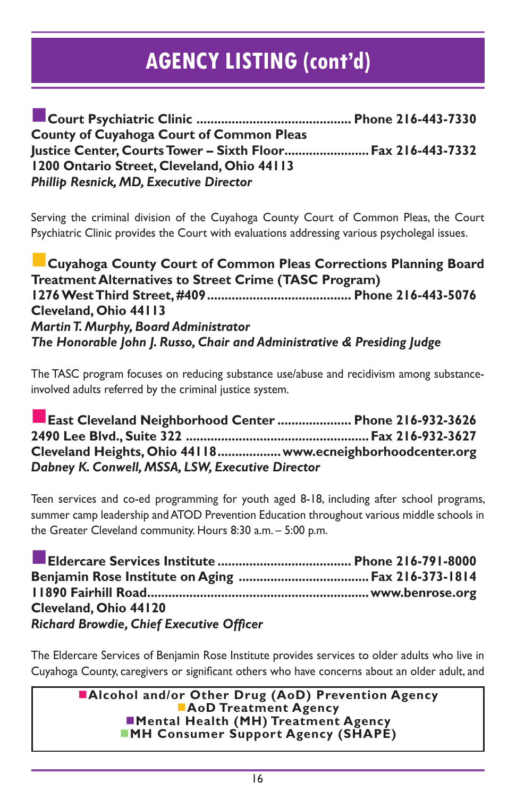n**Court Psychiatric Clinic ............................................ Phone 216-443-7330 County of Cuyahoga Court of Common Pleas Justice Center, Courts Tower – Sixth Floor........................Fax 216-443-7332 1200 Ontario Street, Cleveland, Ohio 44113** *Phillip Resnick, MD, Executive Director*

Serving the criminal division of the Cuyahoga County Court of Common Pleas, the Court Psychiatric Clinic provides the Court with evaluations addressing various psycholegal issues.

n**Cuyahoga County Court of Common Pleas Corrections Planning Board Treatment Alternatives to Street Crime (TASC Program) 1276 West Third Street, #409......................................... Phone 216-443-5076 Cleveland, Ohio 44113** *Martin T. Murphy, Board Administrator The Honorable John J. Russo, Chair and Administrative & Presiding Judge*

The TASC program focuses on reducing substance use/abuse and recidivism among substanceinvolved adults referred by the criminal justice system.

n**East Cleveland Neighborhood Center ..................... Phone 216-932-3626 2490 Lee Blvd., Suite 322 ....................................................Fax 216-932-3627 Cleveland Heights, Ohio 44118..................www.ecneighborhoodcenter.org** *Dabney K. Conwell, MSSA, LSW, Executive Director*

Teen services and co-ed programming for youth aged 8-18, including after school programs, summer camp leadership and ATOD Prevention Education throughout various middle schools in the Greater Cleveland community. Hours 8:30 a.m. – 5:00 p.m.

| Cleveland, Ohio 44120                           |  |
|-------------------------------------------------|--|
| <b>Richard Browdie, Chief Executive Officer</b> |  |

The Eldercare Services of Benjamin Rose Institute provides services to older adults who live in Cuyahoga County, caregivers or significant others who have concerns about an older adult, and

> **nalcohol and/or Other Drug (AoD) Prevention Agency AoD Treatment Agency Nental Health (MH) Treatment Agency MH Consumer Support Agency (SHAPE)**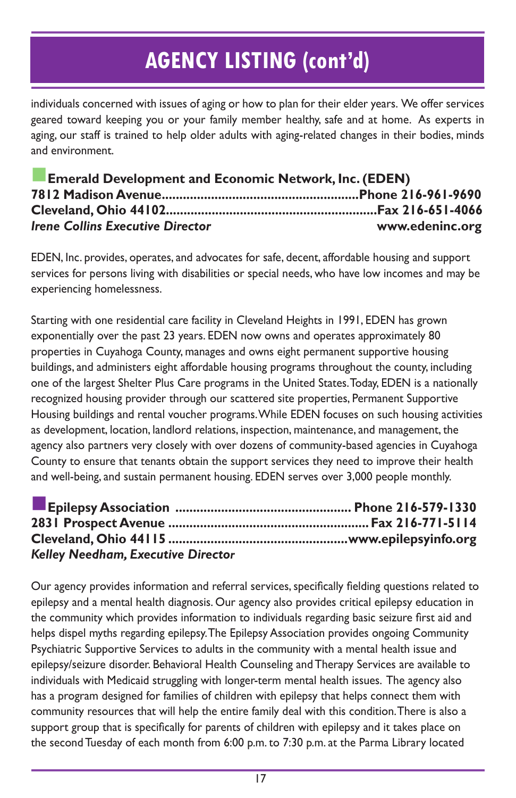individuals concerned with issues of aging or how to plan for their elder years. We offer services geared toward keeping you or your family member healthy, safe and at home. As experts in aging, our staff is trained to help older adults with aging-related changes in their bodies, minds and environment.

| <b>Example 2 Emerald Development and Economic Network, Inc. (EDEN)</b> |                 |
|------------------------------------------------------------------------|-----------------|
|                                                                        |                 |
|                                                                        |                 |
| <b>Irene Collins Executive Director</b>                                | www.edeninc.org |

EDEN, Inc. provides, operates, and advocates for safe, decent, affordable housing and support services for persons living with disabilities or special needs, who have low incomes and may be experiencing homelessness.

Starting with one residential care facility in Cleveland Heights in 1991, EDEN has grown exponentially over the past 23 years. EDEN now owns and operates approximately 80 properties in Cuyahoga County, manages and owns eight permanent supportive housing buildings, and administers eight affordable housing programs throughout the county, including one of the largest Shelter Plus Care programs in the United States. Today, EDEN is a nationally recognized housing provider through our scattered site properties, Permanent Supportive Housing buildings and rental voucher programs. While EDEN focuses on such housing activities as development, location, landlord relations, inspection, maintenance, and management, the agency also partners very closely with over dozens of community-based agencies in Cuyahoga County to ensure that tenants obtain the support services they need to improve their health and well-being, and sustain permanent housing. EDEN serves over 3,000 people monthly.

| <b>Kelley Needham, Executive Director</b> |  |
|-------------------------------------------|--|

Our agency provides information and referral services, specifically fielding questions related to epilepsy and a mental health diagnosis. Our agency also provides critical epilepsy education in the community which provides information to individuals regarding basic seizure first aid and helps dispel myths regarding epilepsy. The Epilepsy Association provides ongoing Community Psychiatric Supportive Services to adults in the community with a mental health issue and epilepsy/seizure disorder. Behavioral Health Counseling and Therapy Services are available to individuals with Medicaid struggling with longer-term mental health issues. The agency also has a program designed for families of children with epilepsy that helps connect them with community resources that will help the entire family deal with this condition. There is also a support group that is specifically for parents of children with epilepsy and it takes place on the second Tuesday of each month from 6:00 p.m. to 7:30 p.m. at the Parma Library located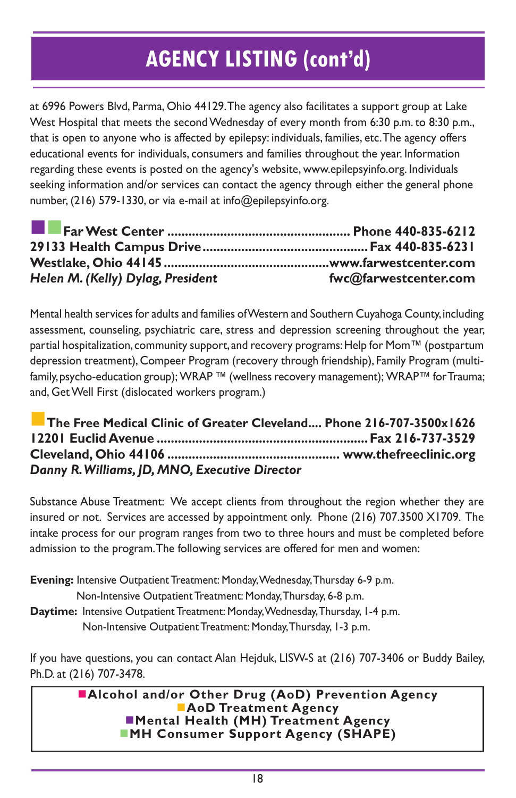at 6996 Powers Blvd, Parma, Ohio 44129. The agency also facilitates a support group at Lake West Hospital that meets the second Wednesday of every month from 6:30 p.m. to 8:30 p.m., that is open to anyone who is affected by epilepsy: individuals, families, etc. The agency offers educational events for individuals, consumers and families throughout the year. Information regarding these events is posted on the agency's website, www.epilepsyinfo.org. Individuals seeking information and/or services can contact the agency through either the general phone number, (216) 579-1330, or via e-mail at info@epilepsyinfo.org.

| Helen M. (Kelly) Dylag, President | fwc@farwestcenter.com |
|-----------------------------------|-----------------------|

Mental health services for adults and families of Western and Southern Cuyahoga County, including assessment, counseling, psychiatric care, stress and depression screening throughout the year, partial hospitalization, community support, and recovery programs: Help for Mom™ (postpartum depression treatment), Compeer Program (recovery through friendship), Family Program (multifamily, psycho-education group); WRAP ™ (wellness recovery management); WRAP™ for Trauma; and, Get Well First (dislocated workers program.)

n**The Free Medical Clinic of Greater Cleveland.... Phone 216-707-3500x1626 12201 Euclid Avenue ............................................................Fax 216-737-3529 Cleveland, Ohio 44106 ................................................. www.thefreeclinic.org** *Danny R. Williams, JD, MNO, Executive Director*

Substance Abuse Treatment: We accept clients from throughout the region whether they are insured or not. Services are accessed by appointment only. Phone (216) 707.3500 X1709. The intake process for our program ranges from two to three hours and must be completed before admission to the program. The following services are offered for men and women:

**Evening:** Intensive Outpatient Treatment: Monday, Wednesday, Thursday 6-9 p.m.

Non-Intensive Outpatient Treatment: Monday, Thursday, 6-8 p.m.

**Daytime:** Intensive Outpatient Treatment: Monday, Wednesday, Thursday, 1-4 p.m. Non-Intensive Outpatient Treatment: Monday, Thursday, 1-3 p.m.

If you have questions, you can contact Alan Hejduk, LISW-S at (216) 707-3406 or Buddy Bailey, Ph.D. at (216) 707-3478.

> n**Alcohol and/or Other Drug (AoD) Prevention Agency AoD Treatment Agency Mental Health (MH) Treatment Agency NH Consumer Support Agency (SHAPE)**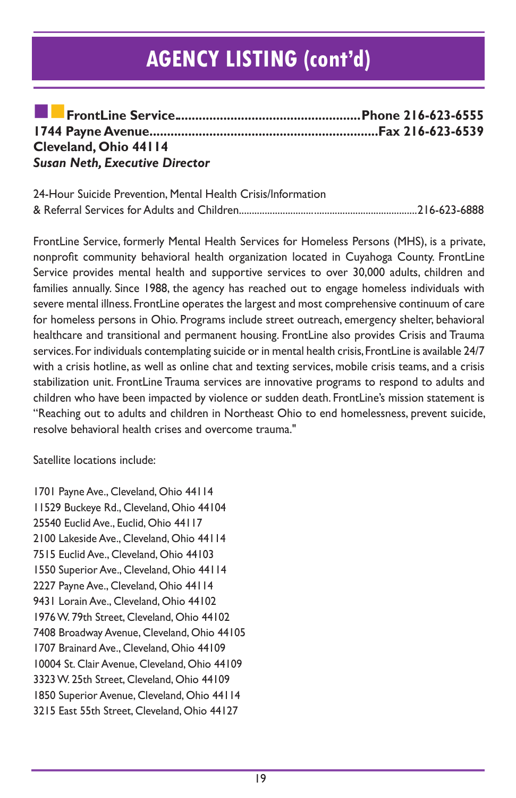| Cleveland, Ohio 44114                 |  |
|---------------------------------------|--|
| <b>Susan Neth, Executive Director</b> |  |

| 24-Hour Suicide Prevention, Mental Health Crisis/Information |  |
|--------------------------------------------------------------|--|
|                                                              |  |

FrontLine Service, formerly Mental Health Services for Homeless Persons (MHS), is a private, nonprofit community behavioral health organization located in Cuyahoga County. FrontLine Service provides mental health and supportive services to over 30,000 adults, children and families annually. Since 1988, the agency has reached out to engage homeless individuals with severe mental illness. FrontLine operates the largest and most comprehensive continuum of care for homeless persons in Ohio. Programs include street outreach, emergency shelter, behavioral healthcare and transitional and permanent housing. FrontLine also provides Crisis and Trauma services. For individuals contemplating suicide or in mental health crisis, FrontLine is available 24/7 with a crisis hotline, as well as online chat and texting services, mobile crisis teams, and a crisis stabilization unit. FrontLine Trauma services are innovative programs to respond to adults and children who have been impacted by violence or sudden death. FrontLine's mission statement is "Reaching out to adults and children in Northeast Ohio to end homelessness, prevent suicide, resolve behavioral health crises and overcome trauma."

Satellite locations include:

1701 Payne Ave., Cleveland, Ohio 44114 11529 Buckeye Rd., Cleveland, Ohio 44104 25540 Euclid Ave., Euclid, Ohio 44117 2100 Lakeside Ave., Cleveland, Ohio 44114 7515 Euclid Ave., Cleveland, Ohio 44103 1550 Superior Ave., Cleveland, Ohio 44114 2227 Payne Ave., Cleveland, Ohio 44114 9431 Lorain Ave., Cleveland, Ohio 44102 1976 W. 79th Street, Cleveland, Ohio 44102 7408 Broadway Avenue, Cleveland, Ohio 44105 1707 Brainard Ave., Cleveland, Ohio 44109 10004 St. Clair Avenue, Cleveland, Ohio 44109 3323 W. 25th Street, Cleveland, Ohio 44109 1850 Superior Avenue, Cleveland, Ohio 44114 3215 East 55th Street, Cleveland, Ohio 44127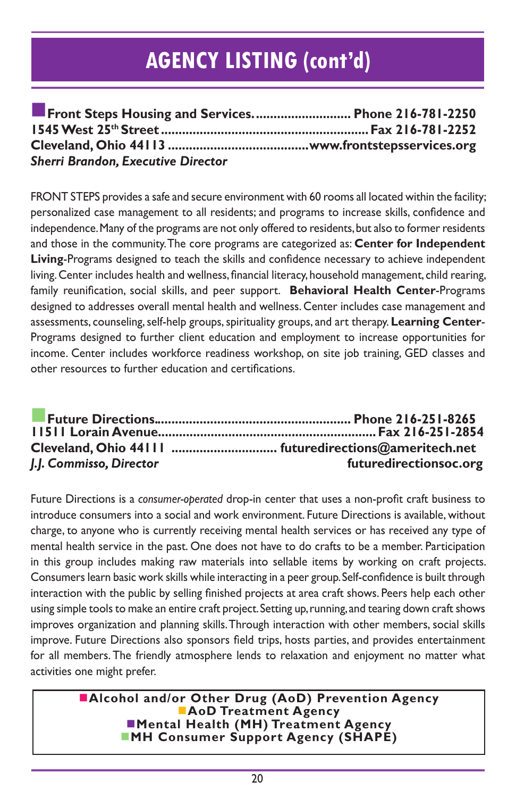| Front Steps Housing and Services Phone 216-781-2250 |  |
|-----------------------------------------------------|--|
|                                                     |  |
|                                                     |  |
| <b>Sherri Brandon, Executive Director</b>           |  |

FRONT STEPS provides a safe and secure environment with 60 rooms all located within the facility; personalized case management to all residents; and programs to increase skills, confidence and independence. Many of the programs are not only offered to residents, but also to former residents and those in the community. The core programs are categorized as: **Center for Independent Living**-Programs designed to teach the skills and confidence necessary to achieve independent living. Center includes health and wellness, financial literacy, household management, child rearing, family reunification, social skills, and peer support. **Behavioral Health Center**-Programs designed to addresses overall mental health and wellness. Center includes case management and assessments, counseling, self-help groups, spirituality groups, and art therapy. **Learning Center**-Programs designed to further client education and employment to increase opportunities for income. Center includes workforce readiness workshop, on site job training, GED classes and other resources to further education and certifications.

| J.J. Commisso, Director | futuredirectionsoc.org |
|-------------------------|------------------------|

Future Directions is a *consumer-operated* drop-in center that uses a non-profit craft business to introduce consumers into a social and work environment. Future Directions is available, without charge, to anyone who is currently receiving mental health services or has received any type of mental health service in the past. One does not have to do crafts to be a member. Participation in this group includes making raw materials into sellable items by working on craft projects. Consumers learn basic work skills while interacting in a peer group. Self-confidence is built through interaction with the public by selling finished projects at area craft shows. Peers help each other using simple tools to make an entire craft project. Setting up, running, and tearing down craft shows improves organization and planning skills. Through interaction with other members, social skills improve. Future Directions also sponsors field trips, hosts parties, and provides entertainment for all members. The friendly atmosphere lends to relaxation and enjoyment no matter what activities one might prefer.

> n**Alcohol and/or Other Drug (AoD) Prevention Agency AoD Treatment Agency nd Mental Health (MH) Treatment Agency MH Consumer Support Agency (SHAPE)**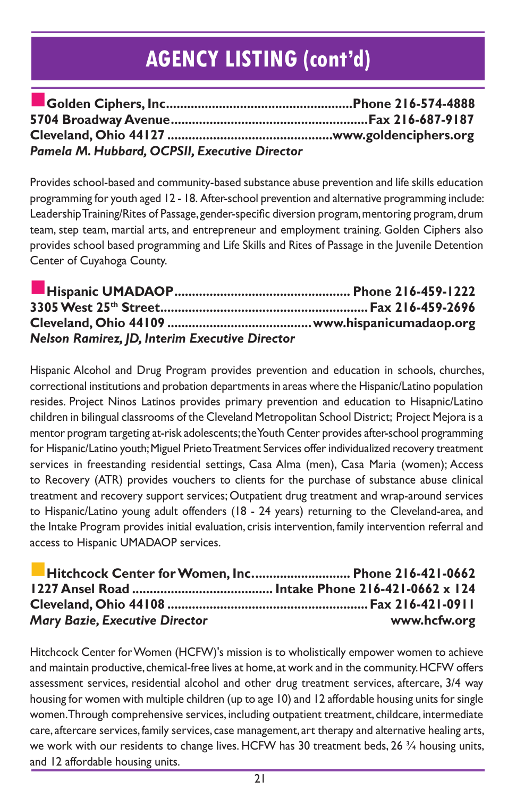| Pamela M. Hubbard, OCPSII, Executive Director |  |
|-----------------------------------------------|--|

Provides school-based and community-based substance abuse prevention and life skills education programming for youth aged 12 - 18. After-school prevention and alternative programming include: Leadership Training/Rites of Passage, gender-specific diversion program, mentoring program, drum team, step team, martial arts, and entrepreneur and employment training. Golden Ciphers also provides school based programming and Life Skills and Rites of Passage in the Juvenile Detention Center of Cuyahoga County.

| <b>Nelson Ramirez, JD, Interim Executive Director</b> |  |
|-------------------------------------------------------|--|

Hispanic Alcohol and Drug Program provides prevention and education in schools, churches, correctional institutions and probation departments in areas where the Hispanic/Latino population resides. Project Ninos Latinos provides primary prevention and education to Hisapnic/Latino children in bilingual classrooms of the Cleveland Metropolitan School District; Project Mejora is a mentor program targeting at-risk adolescents; the Youth Center provides after-school programming for Hispanic/Latino youth; Miguel Prieto Treatment Services offer individualized recovery treatment services in freestanding residential settings, Casa Alma (men), Casa Maria (women); Access to Recovery (ATR) provides vouchers to clients for the purchase of substance abuse clinical treatment and recovery support services; Outpatient drug treatment and wrap-around services to Hispanic/Latino young adult offenders (18 - 24 years) returning to the Cleveland-area, and the Intake Program provides initial evaluation, crisis intervention, family intervention referral and access to Hispanic UMADAOP services.

| E Hitchcock Center for Women, Inc Phone 216-421-0662 |              |
|------------------------------------------------------|--------------|
|                                                      |              |
|                                                      |              |
| <b>Mary Bazie, Executive Director</b>                | www.hcfw.org |

Hitchcock Center for Women (HCFW)'s mission is to wholistically empower women to achieve and maintain productive, chemical-free lives at home, at work and in the community. HCFW offers assessment services, residential alcohol and other drug treatment services, aftercare, 3/4 way housing for women with multiple children (up to age 10) and 12 affordable housing units for single women. Through comprehensive services, including outpatient treatment, childcare, intermediate care, aftercare services, family services, case management, art therapy and alternative healing arts, we work with our residents to change lives. HCFW has 30 treatment beds, 26  $\frac{3}{4}$  housing units, and 12 affordable housing units.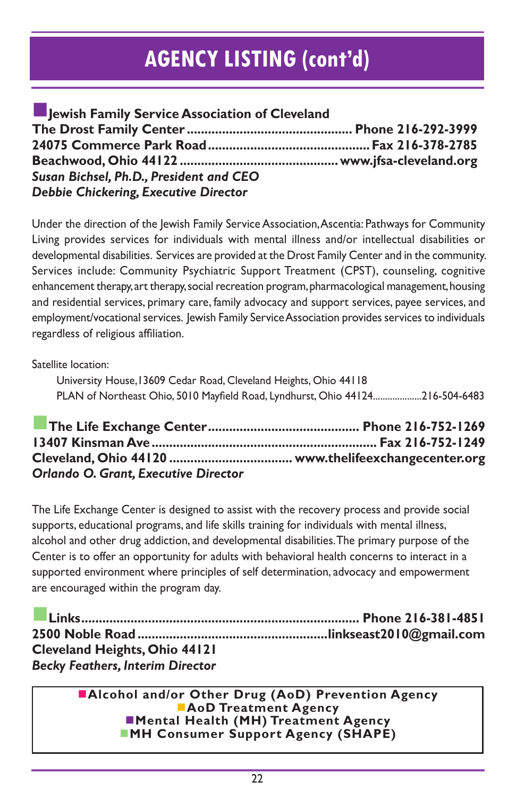| Jewish Family Service Association of Cleveland |  |
|------------------------------------------------|--|
|                                                |  |
|                                                |  |
|                                                |  |
| Susan Bichsel, Ph.D., President and CEO        |  |
| Debbie Chickering, Executive Director          |  |

Under the direction of the Jewish Family Service Association, Ascentia: Pathways for Community Living provides services for individuals with mental illness and/or intellectual disabilities or developmental disabilities. Services are provided at the Drost Family Center and in the community. Services include: Community Psychiatric Support Treatment (CPST), counseling, cognitive enhancement therapy, art therapy, social recreation program, pharmacological management, housing and residential services, primary care, family advocacy and support services, payee services, and employment/vocational services. Jewish Family Service Association provides services to individuals regardless of religious affiliation.

Satellite location:

University House,13609 Cedar Road, Cleveland Heights, Ohio 44118 PLAN of Northeast Ohio, 5010 Mayfield Road, Lyndhurst, Ohio 44124....................216-504-6483

n**The Life Exchange Center........................................... Phone 216-752-1269 13407 Kinsman Ave................................................................ Fax 216-752-1249 Cleveland, Ohio 44120 ................................... www.thelifeexchangecenter.org** *Orlando O. Grant, Executive Director*

The Life Exchange Center is designed to assist with the recovery process and provide social supports, educational programs, and life skills training for individuals with mental illness, alcohol and other drug addiction, and developmental disabilities. The primary purpose of the Center is to offer an opportunity for adults with behavioral health concerns to interact in a supported environment where principles of self determination, advocacy and empowerment are encouraged within the program day.

n**Links............................................................................... Phone 216-381-4851 2500 Noble Road ......................................................linkseast2010@gmail.com Cleveland Heights, Ohio 44121**  *Becky Feathers, Interim Director*

n**Alcohol and/or Other Drug (AoD) Prevention Agency AoD Treatment Agency Mental Health (MH) Treatment Agency** ■MH Consumer Support Agency (SHAPE)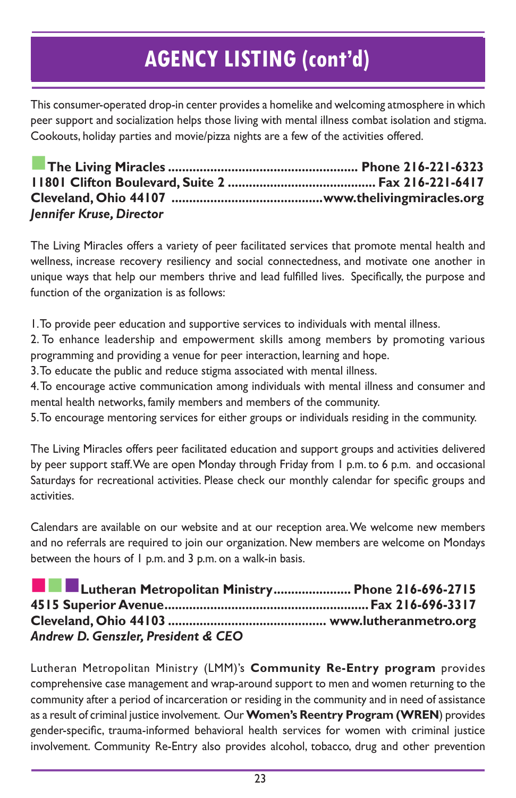This consumer-operated drop-in center provides a homelike and welcoming atmosphere in which peer support and socialization helps those living with mental illness combat isolation and stigma. Cookouts, holiday parties and movie/pizza nights are a few of the activities offered.

n**The Living Miracles ...................................................... Phone 216-221-6323 11801 Clifton Boulevard, Suite 2 .......................................... Fax 216-221-6417 Cleveland, Ohio 44107 ...........................................www.thelivingmiracles.org** *Jennifer Kruse, Director*

The Living Miracles offers a variety of peer facilitated services that promote mental health and wellness, increase recovery resiliency and social connectedness, and motivate one another in unique ways that help our members thrive and lead fulfilled lives. Specifically, the purpose and function of the organization is as follows:

1. To provide peer education and supportive services to individuals with mental illness.

2. To enhance leadership and empowerment skills among members by promoting various programming and providing a venue for peer interaction, learning and hope.

3. To educate the public and reduce stigma associated with mental illness.

4. To encourage active communication among individuals with mental illness and consumer and mental health networks, family members and members of the community.

5. To encourage mentoring services for either groups or individuals residing in the community.

The Living Miracles offers peer facilitated education and support groups and activities delivered by peer support staff. We are open Monday through Friday from 1 p.m. to 6 p.m. and occasional Saturdays for recreational activities. Please check our monthly calendar for specific groups and activities.

Calendars are available on our website and at our reception area. We welcome new members and no referrals are required to join our organization. New members are welcome on Mondays between the hours of 1 p.m. and 3 p.m. on a walk-in basis.

| <b>THE Lutheran Metropolitan Ministry Phone 216-696-2715</b> |  |
|--------------------------------------------------------------|--|
|                                                              |  |
|                                                              |  |
| Andrew D. Genszler, President & CEO                          |  |

Lutheran Metropolitan Ministry (LMM)'s **Community Re-Entry program** provides comprehensive case management and wrap-around support to men and women returning to the community after a period of incarceration or residing in the community and in need of assistance as a result of criminal justice involvement. Our **Women's Reentry Program (WREN**) provides gender-specific, trauma-informed behavioral health services for women with criminal justice involvement. Community Re-Entry also provides alcohol, tobacco, drug and other prevention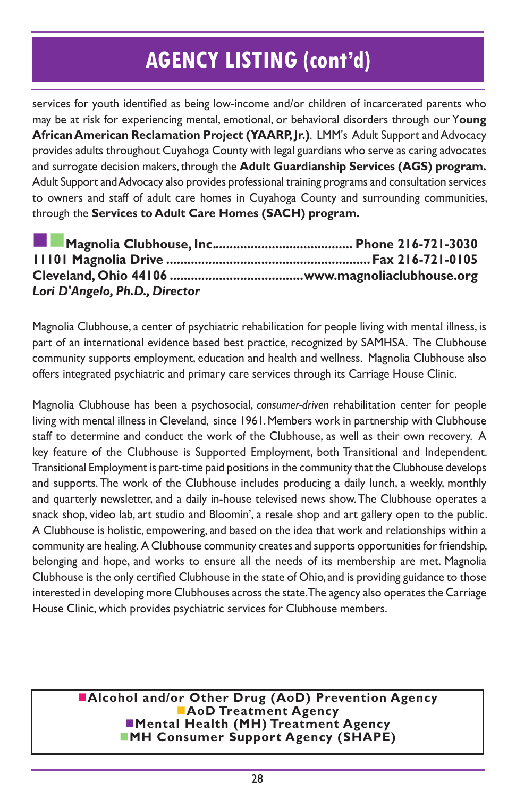services for youth identified as being low-income and/or children of incarcerated parents who may be at risk for experiencing mental, emotional, or behavioral disorders through our Y**oung African American Reclamation Project (YAARP, Jr.)**. LMM's Adult Support and Advocacy provides adults throughout Cuyahoga County with legal guardians who serve as caring advocates and surrogate decision makers, through the **Adult Guardianship Services (AGS) program.** Adult Support and Advocacy also provides professional training programs and consultation services to owners and staff of adult care homes in Cuyahoga County and surrounding communities, through the **Services to Adult Care Homes (SACH) program.**

| Lori D'Angelo, Ph.D., Director |  |
|--------------------------------|--|

Magnolia Clubhouse, a center of psychiatric rehabilitation for people living with mental illness, is part of an international evidence based best practice, recognized by SAMHSA. The Clubhouse community supports employment, education and health and wellness. Magnolia Clubhouse also offers integrated psychiatric and primary care services through its Carriage House Clinic.

Magnolia Clubhouse has been a psychosocial, *consumer-driven* rehabilitation center for people living with mental illness in Cleveland, since 1961. Members work in partnership with Clubhouse staff to determine and conduct the work of the Clubhouse, as well as their own recovery. A key feature of the Clubhouse is Supported Employment, both Transitional and Independent. Transitional Employment is part-time paid positions in the community that the Clubhouse develops and supports. The work of the Clubhouse includes producing a daily lunch, a weekly, monthly and quarterly newsletter, and a daily in-house televised news show. The Clubhouse operates a snack shop, video lab, art studio and Bloomin', a resale shop and art gallery open to the public. A Clubhouse is holistic, empowering, and based on the idea that work and relationships within a community are healing. A Clubhouse community creates and supports opportunities for friendship, belonging and hope, and works to ensure all the needs of its membership are met. Magnolia Clubhouse is the only certified Clubhouse in the state of Ohio, and is providing guidance to those interested in developing more Clubhouses across the state. The agency also operates the Carriage House Clinic, which provides psychiatric services for Clubhouse members.

**nalcohol and/or Other Drug (AoD) Prevention Agency AoD Treatment Agency** n**Mental Health (MH) Treatment Agency NH Consumer Support Agency (SHAPE)**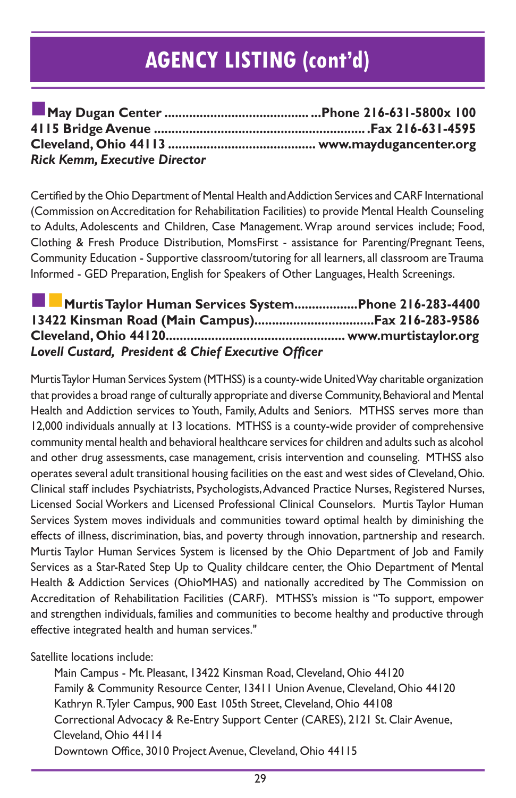| <b>Rick Kemm, Executive Director</b> |  |
|--------------------------------------|--|

Certified by the Ohio Department of Mental Health and Addiction Services and CARF International (Commission on Accreditation for Rehabilitation Facilities) to provide Mental Health Counseling to Adults, Adolescents and Children, Case Management. Wrap around services include; Food, Clothing & Fresh Produce Distribution, MomsFirst - assistance for Parenting/Pregnant Teens, Community Education - Supportive classroom/tutoring for all learners, all classroom are Trauma Informed - GED Preparation, English for Speakers of Other Languages, Health Screenings.

| Murtis Taylor Human Services SystemPhone 216-283-4400 |  |
|-------------------------------------------------------|--|
|                                                       |  |
|                                                       |  |
| Lovell Custard, President & Chief Executive Officer   |  |

Murtis Taylor Human Services System (MTHSS) is a county-wide United Way charitable organization that provides a broad range of culturally appropriate and diverse Community, Behavioral and Mental Health and Addiction services to Youth, Family, Adults and Seniors. MTHSS serves more than 12,000 individuals annually at 13 locations. MTHSS is a county-wide provider of comprehensive community mental health and behavioral healthcare services for children and adults such as alcohol and other drug assessments, case management, crisis intervention and counseling. MTHSS also operates several adult transitional housing facilities on the east and west sides of Cleveland, Ohio. Clinical staff includes Psychiatrists, Psychologists, Advanced Practice Nurses, Registered Nurses, Licensed Social Workers and Licensed Professional Clinical Counselors. Murtis Taylor Human Services System moves individuals and communities toward optimal health by diminishing the effects of illness, discrimination, bias, and poverty through innovation, partnership and research. Murtis Taylor Human Services System is licensed by the Ohio Department of Job and Family Services as a Star-Rated Step Up to Quality childcare center, the Ohio Department of Mental Health & Addiction Services (OhioMHAS) and nationally accredited by The Commission on Accreditation of Rehabilitation Facilities (CARF). MTHSS's mission is "To support, empower and strengthen individuals, families and communities to become healthy and productive through effective integrated health and human services."

Satellite locations include:

Main Campus - Mt. Pleasant, 13422 Kinsman Road, Cleveland, Ohio 44120 Family & Community Resource Center, 13411 Union Avenue, Cleveland, Ohio 44120 Kathryn R. Tyler Campus, 900 East 105th Street, Cleveland, Ohio 44108 Correctional Advocacy & Re-Entry Support Center (CARES), 2121 St. Clair Avenue, Cleveland, Ohio 44114 Downtown Office, 3010 Project Avenue, Cleveland, Ohio 44115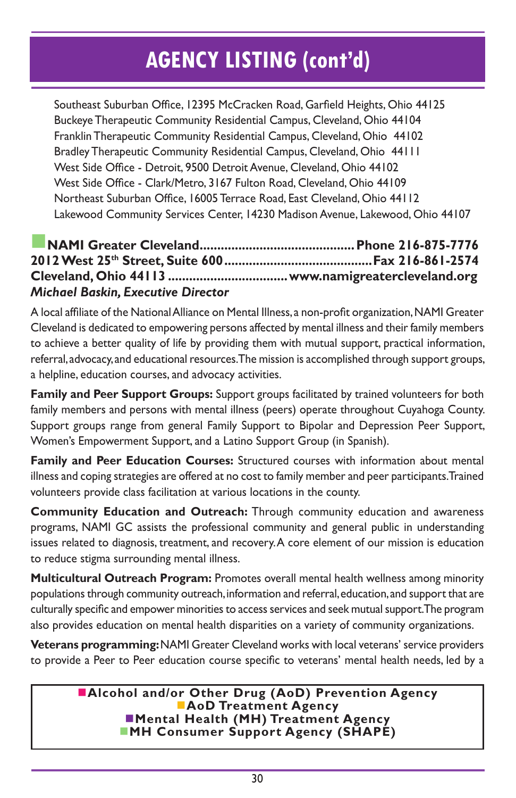Southeast Suburban Office, 12395 McCracken Road, Garfield Heights, Ohio 44125 Buckeye Therapeutic Community Residential Campus, Cleveland, Ohio 44104 Franklin Therapeutic Community Residential Campus, Cleveland, Ohio 44102 Bradley Therapeutic Community Residential Campus, Cleveland, Ohio 44111 West Side Office - Detroit, 9500 Detroit Avenue, Cleveland, Ohio 44102 West Side Office - Clark/Metro, 3167 Fulton Road, Cleveland, Ohio 44109 Northeast Suburban Office, 16005 Terrace Road, East Cleveland, Ohio 44112 Lakewood Community Services Center, 14230 Madison Avenue, Lakewood, Ohio 44107

#### n**NAMI Greater Cleveland............................................Phone 216-875-7776 2012 West 25th Street, Suite 600..........................................Fax 216-861-2574 Cleveland, Ohio 44113 ..................................www.namigreatercleveland.org** *Michael Baskin, Executive Director*

A local affiliate of the National Alliance on Mental Illness, a non-profit organization, NAMI Greater Cleveland is dedicated to empowering persons affected by mental illness and their family members to achieve a better quality of life by providing them with mutual support, practical information, referral, advocacy, and educational resources. The mission is accomplished through support groups, a helpline, education courses, and advocacy activities.

**Family and Peer Support Groups:** Support groups facilitated by trained volunteers for both family members and persons with mental illness (peers) operate throughout Cuyahoga County. Support groups range from general Family Support to Bipolar and Depression Peer Support, Women's Empowerment Support, and a Latino Support Group (in Spanish).

**Family and Peer Education Courses:** Structured courses with information about mental illness and coping strategies are offered at no cost to family member and peer participants. Trained volunteers provide class facilitation at various locations in the county.

**Community Education and Outreach:** Through community education and awareness programs, NAMI GC assists the professional community and general public in understanding issues related to diagnosis, treatment, and recovery. A core element of our mission is education to reduce stigma surrounding mental illness.

**Multicultural Outreach Program:** Promotes overall mental health wellness among minority populations through community outreach, information and referral, education, and support that are culturally specific and empower minorities to access services and seek mutual support. The program also provides education on mental health disparities on a variety of community organizations.

**Veterans programming:** NAMI Greater Cleveland works with local veterans' service providers to provide a Peer to Peer education course specific to veterans' mental health needs, led by a

> **nalcohol and/or Other Drug (AoD) Prevention Agency AoD Treatment Agency Nental Health (MH) Treatment Agency NH Consumer Support Agency (SHAPE)**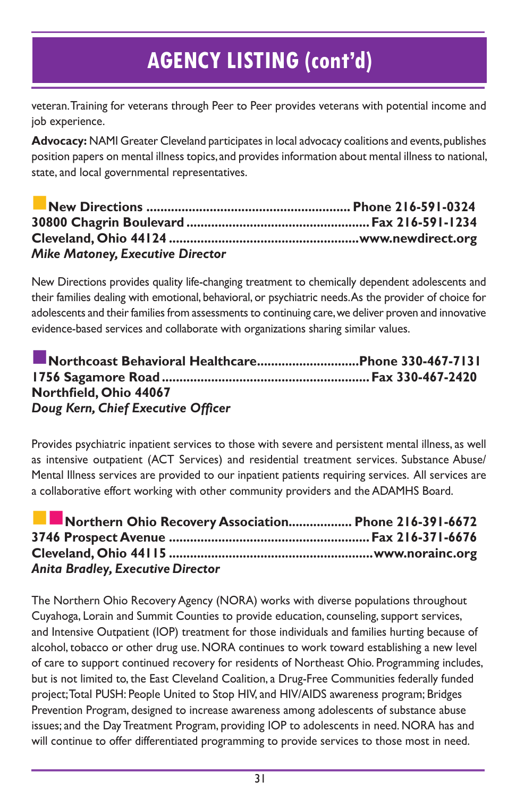veteran. Training for veterans through Peer to Peer provides veterans with potential income and job experience.

**Advocacy:** NAMI Greater Cleveland participates in local advocacy coalitions and events, publishes position papers on mental illness topics, and provides information about mental illness to national, state, and local governmental representatives.

| <b>Mike Matoney, Executive Director</b> |  |
|-----------------------------------------|--|

New Directions provides quality life-changing treatment to chemically dependent adolescents and their families dealing with emotional, behavioral, or psychiatric needs. As the provider of choice for adolescents and their families from assessments to continuing care, we deliver proven and innovative evidence-based services and collaborate with organizations sharing similar values.

| Northcoast Behavioral HealthcarePhone 330-467-7131 |  |
|----------------------------------------------------|--|
|                                                    |  |
| Northfield, Ohio 44067                             |  |
| Doug Kern, Chief Executive Officer                 |  |

Provides psychiatric inpatient services to those with severe and persistent mental illness, as well as intensive outpatient (ACT Services) and residential treatment services. Substance Abuse/ Mental Illness services are provided to our inpatient patients requiring services. All services are a collaborative effort working with other community providers and the ADAMHS Board.

| Northern Ohio Recovery Association Phone 216-391-6672 |  |
|-------------------------------------------------------|--|
|                                                       |  |
|                                                       |  |
| <b>Anita Bradley, Executive Director</b>              |  |

The Northern Ohio Recovery Agency (NORA) works with diverse populations throughout Cuyahoga, Lorain and Summit Counties to provide education, counseling, support services, and Intensive Outpatient (IOP) treatment for those individuals and families hurting because of alcohol, tobacco or other drug use. NORA continues to work toward establishing a new level of care to support continued recovery for residents of Northeast Ohio. Programming includes, but is not limited to, the East Cleveland Coalition, a Drug-Free Communities federally funded project; Total PUSH: People United to Stop HIV, and HIV/AIDS awareness program; Bridges Prevention Program, designed to increase awareness among adolescents of substance abuse issues; and the Day Treatment Program, providing IOP to adolescents in need. NORA has and will continue to offer differentiated programming to provide services to those most in need.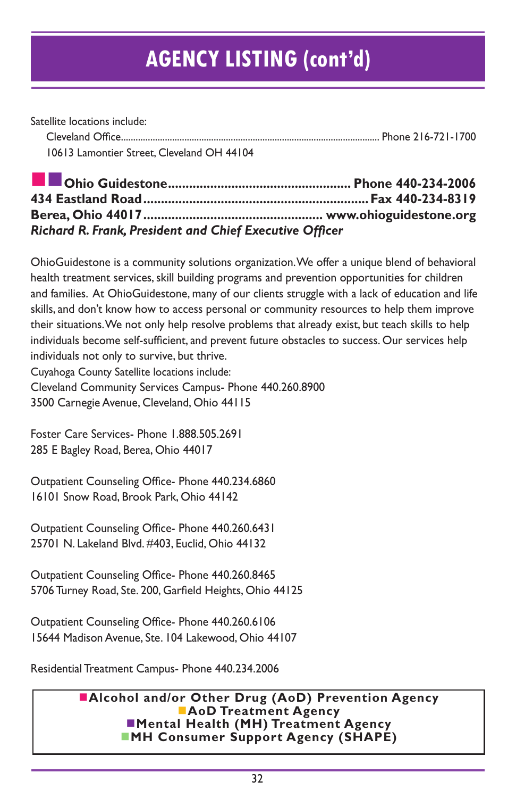Satellite locations include:

 Cleveland Office.......................................................................................................... Phone 216-721-1700 10613 Lamontier Street, Cleveland OH 44104

j nn**Ohio Guidestone.................................................... Phone 440-234-2006 434 Eastland Road................................................................Fax 440-234-8319 Berea, Ohio 44017................................................... www.ohioguidestone.org** *Richard R. Frank, President and Chief Executive Officer*

OhioGuidestone is a community solutions organization. We offer a unique blend of behavioral health treatment services, skill building programs and prevention opportunities for children and families. At OhioGuidestone, many of our clients struggle with a lack of education and life skills, and don't know how to access personal or community resources to help them improve their situations. We not only help resolve problems that already exist, but teach skills to help individuals become self-sufficient, and prevent future obstacles to success. Our services help individuals not only to survive, but thrive.

Cuyahoga County Satellite locations include:

Cleveland Community Services Campus- Phone 440.260.8900

3500 Carnegie Avenue, Cleveland, Ohio 44115

Foster Care Services- Phone 1.888.505.2691 285 E Bagley Road, Berea, Ohio 44017

Outpatient Counseling Office- Phone 440.234.6860 16101 Snow Road, Brook Park, Ohio 44142

Outpatient Counseling Office- Phone 440.260.6431 25701 N. Lakeland Blvd. #403, Euclid, Ohio 44132

Outpatient Counseling Office- Phone 440.260.8465 5706 Turney Road, Ste. 200, Garfield Heights, Ohio 44125

Outpatient Counseling Office- Phone 440.260.6106 15644 Madison Avenue, Ste. 104 Lakewood, Ohio 44107

Residential Treatment Campus- Phone 440.234.2006

#### **nalcohol and/or Other Drug (AoD) Prevention Agency AoD Treatment Agency** n**Mental Health (MH) Treatment Agency MH Consumer Support Agency (SHAPE)**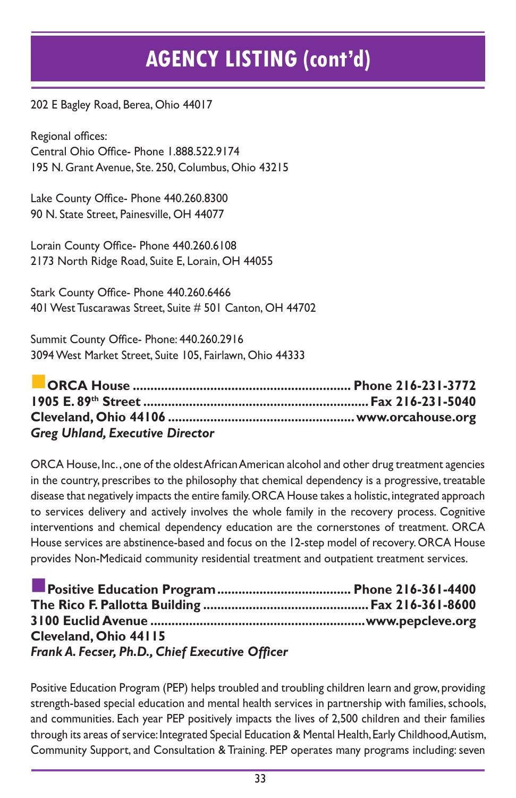202 E Bagley Road, Berea, Ohio 44017

Regional offices: Central Ohio Office- Phone 1.888.522.9174 195 N. Grant Avenue, Ste. 250, Columbus, Ohio 43215

Lake County Office- Phone 440.260.8300 90 N. State Street, Painesville, OH 44077

Lorain County Office- Phone 440.260.6108 2173 North Ridge Road, Suite E, Lorain, OH 44055

Stark County Office- Phone 440.260.6466 401 West Tuscarawas Street, Suite # 501 Canton, OH 44702

Summit County Office- Phone: 440.260.2916 3094 West Market Street, Suite 105, Fairlawn, Ohio 44333

| <b>Greg Uhland, Executive Director</b> |  |
|----------------------------------------|--|

ORCA House, Inc. , one of the oldest African American alcohol and other drug treatment agencies in the country, prescribes to the philosophy that chemical dependency is a progressive, treatable disease that negatively impacts the entire family. ORCA House takes a holistic, integrated approach to services delivery and actively involves the whole family in the recovery process. Cognitive interventions and chemical dependency education are the cornerstones of treatment. ORCA House services are abstinence-based and focus on the 12-step model of recovery. ORCA House provides Non-Medicaid community residential treatment and outpatient treatment services.

| Cleveland, Ohio 44115                           |  |
|-------------------------------------------------|--|
| Frank A. Fecser, Ph.D., Chief Executive Officer |  |

Positive Education Program (PEP) helps troubled and troubling children learn and grow, providing strength-based special education and mental health services in partnership with families, schools, and communities. Each year PEP positively impacts the lives of 2,500 children and their families through its areas of service: Integrated Special Education & Mental Health, Early Childhood, Autism, Community Support, and Consultation & Training. PEP operates many programs including: seven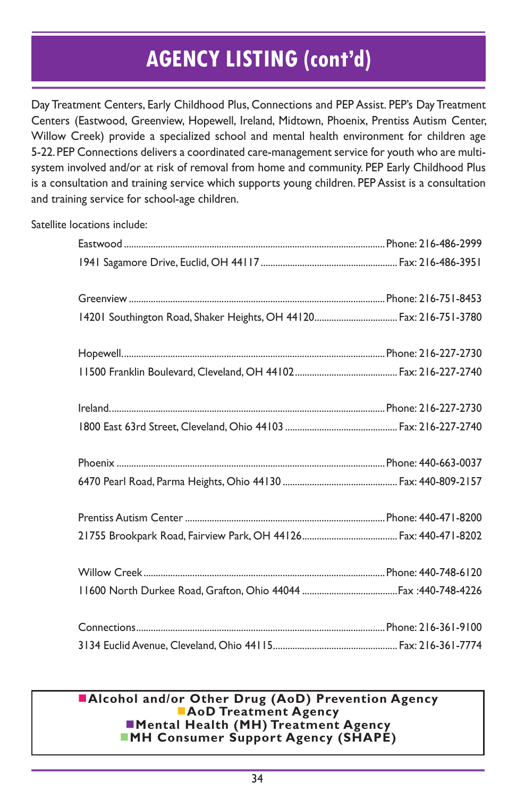Day Treatment Centers, Early Childhood Plus, Connections and PEP Assist. PEP's Day Treatment Centers (Eastwood, Greenview, Hopewell, Ireland, Midtown, Phoenix, Prentiss Autism Center, Willow Creek) provide a specialized school and mental health environment for children age 5-22. PEP Connections delivers a coordinated care-management service for youth who are multisystem involved and/or at risk of removal from home and community. PEP Early Childhood Plus is a consultation and training service which supports young children. PEP Assist is a consultation and training service for school-age children.

Satellite locations include:

| 14201 Southington Road, Shaker Heights, OH 44120 Fax: 216-751-3780 |  |
|--------------------------------------------------------------------|--|
|                                                                    |  |
|                                                                    |  |
|                                                                    |  |
|                                                                    |  |
|                                                                    |  |
|                                                                    |  |
|                                                                    |  |
|                                                                    |  |
|                                                                    |  |
|                                                                    |  |
|                                                                    |  |
|                                                                    |  |

#### n**Alcohol and/or Other Drug (AoD) Prevention Agency AoD Treatment Agency nd Mental Health (MH) Treatment Agency NH Consumer Support Agency (SHAPE)**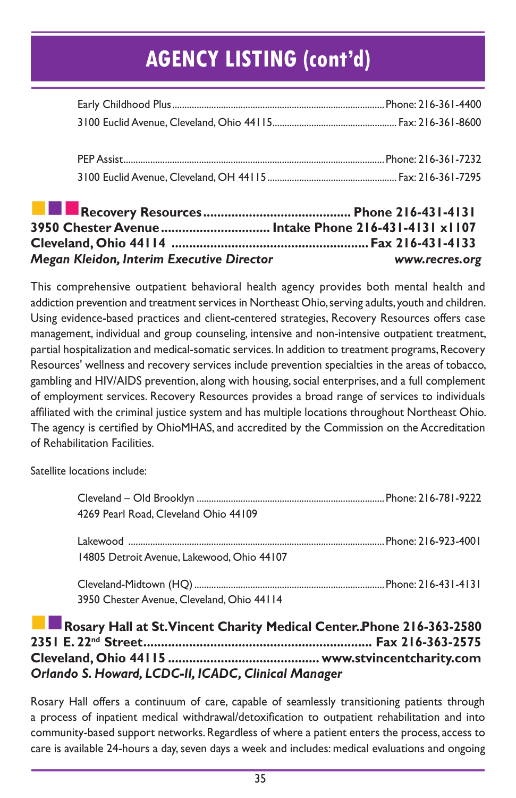| 3950 Chester Avenue  Intake Phone 216-431-4131 x1107 |  |
|------------------------------------------------------|--|
|                                                      |  |
|                                                      |  |
|                                                      |  |
|                                                      |  |
|                                                      |  |
|                                                      |  |
|                                                      |  |

This comprehensive outpatient behavioral health agency provides both mental health and addiction prevention and treatment services in Northeast Ohio, serving adults, youth and children. Using evidence-based practices and client-centered strategies, Recovery Resources offers case management, individual and group counseling, intensive and non-intensive outpatient treatment, partial hospitalization and medical-somatic services. In addition to treatment programs, Recovery Resources' wellness and recovery services include prevention specialties in the areas of tobacco, gambling and HIV/AIDS prevention, along with housing, social enterprises, and a full complement of employment services. Recovery Resources provides a broad range of services to individuals affiliated with the criminal justice system and has multiple locations throughout Northeast Ohio. The agency is certified by OhioMHAS, and accredited by the Commission on the Accreditation of Rehabilitation Facilities.

*Megan Kleidon, Interim Executive Director .................................. www.recres.org*

Satellite locations include:

| 4269 Pearl Road, Cleveland Ohio 44109      |  |
|--------------------------------------------|--|
|                                            |  |
| 14805 Detroit Avenue, Lakewood, Ohio 44107 |  |
|                                            |  |
| 3950 Chester Avenue, Cleveland, Ohio 44114 |  |

#### Rosary Hall at St. Vincent Charity Medical Center..Phone 216-363-2580 **2351 E. 22nd Street................................................................. Fax 216-363-2575 Cleveland, Ohio 44115 ........................................... www.stvincentcharity.com**  *Orlando S. Howard, LCDC-II, ICADC, Clinical Manager*

Rosary Hall offers a continuum of care, capable of seamlessly transitioning patients through a process of inpatient medical withdrawal/detoxification to outpatient rehabilitation and into community-based support networks. Regardless of where a patient enters the process, access to care is available 24-hours a day, seven days a week and includes: medical evaluations and ongoing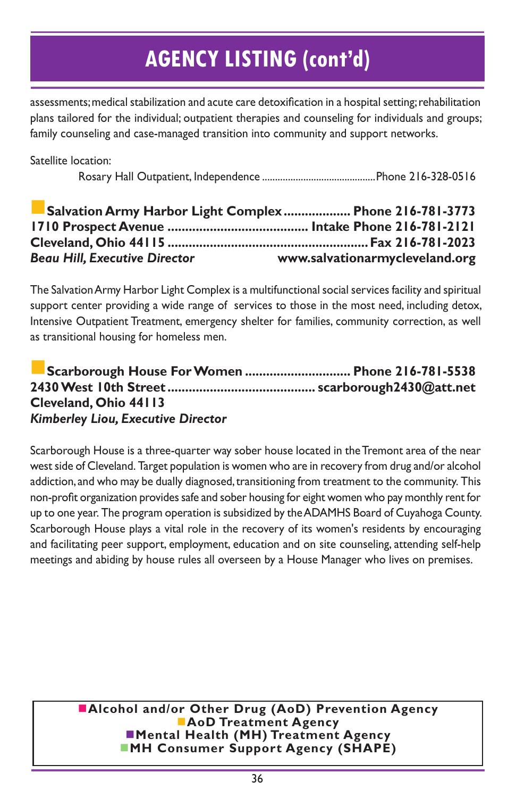assessments; medical stabilization and acute care detoxification in a hospital setting; rehabilitation plans tailored for the individual; outpatient therapies and counseling for individuals and groups; family counseling and case-managed transition into community and support networks.

Satellite location:

Rosary Hall Outpatient, Independence ............................................Phone 216-328-0516

|                                      | Salvation Army Harbor Light Complex Phone 216-781-3773 |
|--------------------------------------|--------------------------------------------------------|
|                                      |                                                        |
|                                      |                                                        |
| <b>Beau Hill, Executive Director</b> | www.salvationarmycleveland.org                         |

The Salvation Army Harbor Light Complex is a multifunctional social services facility and spiritual support center providing a wide range of services to those in the most need, including detox, Intensive Outpatient Treatment, emergency shelter for families, community correction, as well as transitional housing for homeless men.

#### n**Scarborough House For Women .............................. Phone 216-781-5538 2430 West 10th Street .......................................... scarborough2430@att.net Cleveland, Ohio 44113** *Kimberley Liou, Executive Director*

Scarborough House is a three-quarter way sober house located in the Tremont area of the near west side of Cleveland. Target population is women who are in recovery from drug and/or alcohol addiction, and who may be dually diagnosed, transitioning from treatment to the community. This non-profit organization provides safe and sober housing for eight women who pay monthly rent for up to one year. The program operation is subsidized by the ADAMHS Board of Cuyahoga County. Scarborough House plays a vital role in the recovery of its women's residents by encouraging and facilitating peer support, employment, education and on site counseling, attending self-help meetings and abiding by house rules all overseen by a House Manager who lives on premises.

> **nalcohol and/or Other Drug (AoD) Prevention Agency AoD Treatment Agency nd Mental Health (MH) Treatment Agency MH Consumer Support Agency (SHAPE)**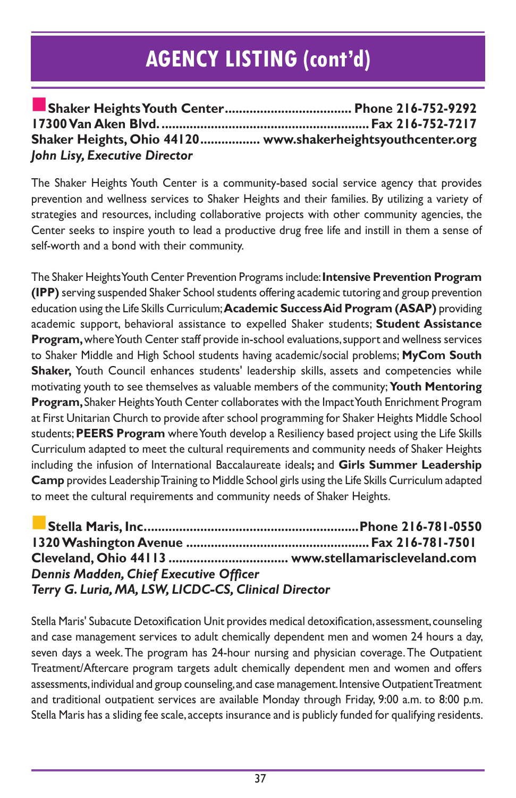|                               | Shaker Heights, Ohio 44120 www.shakerheightsyouthcenter.org |
|-------------------------------|-------------------------------------------------------------|
| John Lisy, Executive Director |                                                             |

The Shaker Heights Youth Center is a community-based social service agency that provides prevention and wellness services to Shaker Heights and their families. By utilizing a variety of strategies and resources, including collaborative projects with other community agencies, the Center seeks to inspire youth to lead a productive drug free life and instill in them a sense of self-worth and a bond with their community.

The Shaker Heights Youth Center Prevention Programs include: **Intensive Prevention Program (IPP)** serving suspended Shaker School students offering academic tutoring and group prevention education using the Life Skills Curriculum; **Academic Success Aid Program (ASAP)** providing academic support, behavioral assistance to expelled Shaker students; **Student Assistance Program,** where Youth Center staff provide in-school evaluations, support and wellness services to Shaker Middle and High School students having academic/social problems; **MyCom South Shaker,** Youth Council enhances students' leadership skills, assets and competencies while motivating youth to see themselves as valuable members of the community; **Youth Mentoring Program,** Shaker Heights Youth Center collaborates with the Impact Youth Enrichment Program at First Unitarian Church to provide after school programming for Shaker Heights Middle School students; **PEERS Program** where Youth develop a Resiliency based project using the Life Skills Curriculum adapted to meet the cultural requirements and community needs of Shaker Heights including the infusion of International Baccalaureate ideals**;** and **Girls Summer Leadership Camp** provides Leadership Training to Middle School girls using the Life Skills Curriculum adapted to meet the cultural requirements and community needs of Shaker Heights.

n**Stella Maris, Inc.............................................................Phone 216-781-0550 1320 Washington Avenue ....................................................Fax 216-781-7501 Cleveland, Ohio 44113 .................................. www.stellamariscleveland.com** *Dennis Madden, Chief Executive Officer Terry G. Luria, MA, LSW, LICDC-CS, Clinical Director*

Stella Maris' Subacute Detoxification Unit provides medical detoxification, assessment, counseling and case management services to adult chemically dependent men and women 24 hours a day, seven days a week. The program has 24-hour nursing and physician coverage. The Outpatient Treatment/Aftercare program targets adult chemically dependent men and women and offers assessments, individual and group counseling, and case management. Intensive Outpatient Treatment and traditional outpatient services are available Monday through Friday, 9:00 a.m. to 8:00 p.m. Stella Maris has a sliding fee scale, accepts insurance and is publicly funded for qualifying residents.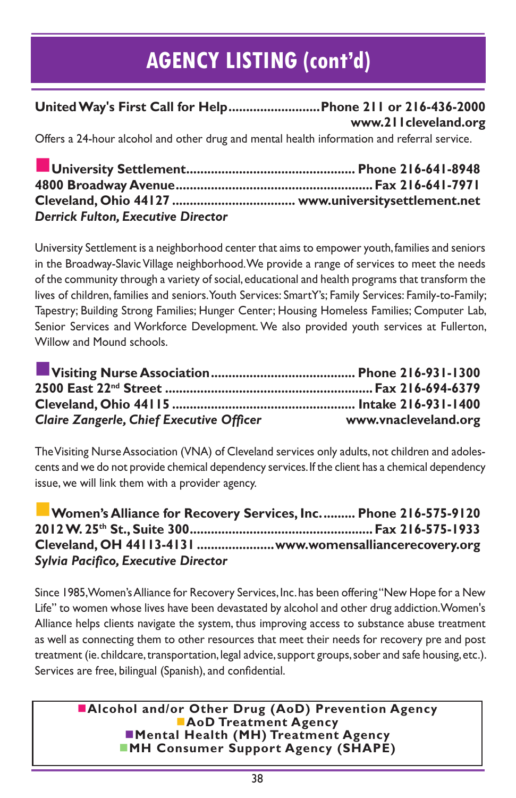**United Way's First Call for Help..........................Phone 211 or 216-436-2000 www.211cleveland.org**

Offers a 24-hour alcohol and other drug and mental health information and referral service.

| <b>Derrick Fulton, Executive Director</b> |  |
|-------------------------------------------|--|

University Settlement is a neighborhood center that aims to empower youth, families and seniors in the Broadway-Slavic Village neighborhood. We provide a range of services to meet the needs of the community through a variety of social, educational and health programs that transform the lives of children, families and seniors. Youth Services: SmartY's; Family Services: Family-to-Family; Tapestry; Building Strong Families; Hunger Center; Housing Homeless Families; Computer Lab, Senior Services and Workforce Development. We also provided youth services at Fullerton, Willow and Mound schools.

| <b>Claire Zangerle, Chief Executive Officer</b> | www.vnacleveland.org |
|-------------------------------------------------|----------------------|

The Visiting Nurse Association (VNA) of Cleveland services only adults, not children and adolescents and we do not provide chemical dependency services. If the client has a chemical dependency issue, we will link them with a provider agency.

**Women's Alliance for Recovery Services, Inc.......... Phone 216-575-9120 2012 W. 25th St., Suite 300....................................................Fax 216-575-1933 Cleveland, OH 44113-4131 ......................www.womensalliancerecovery.org** *Sylvia Pacifico, Executive Director* 

Since 1985, Women's Alliance for Recovery Services, Inc. has been offering "New Hope for a New Life" to women whose lives have been devastated by alcohol and other drug addiction. Women's Alliance helps clients navigate the system, thus improving access to substance abuse treatment as well as connecting them to other resources that meet their needs for recovery pre and post treatment (ie. childcare, transportation, legal advice, support groups, sober and safe housing, etc.). Services are free, bilingual (Spanish), and confidential.

**nalcohol and/or Other Drug (AoD) Prevention Agency AoD Treatment Agency nd Mental Health (MH) Treatment Agency MH Consumer Support Agency (SHAPE)**